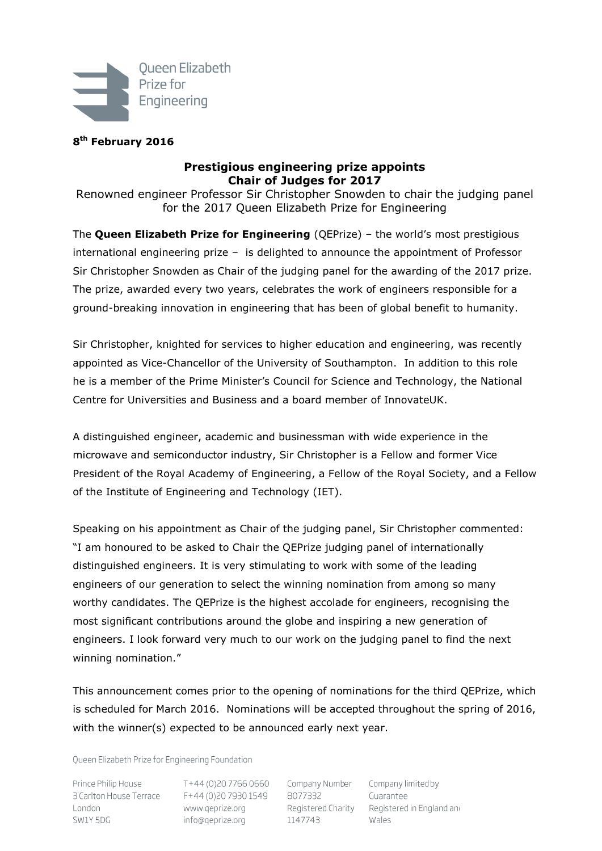

# **8 th February 2016**

# **Prestigious engineering prize appoints Chair of Judges for 2017**

Renowned engineer Professor Sir Christopher Snowden to chair the judging panel for the 2017 Queen Elizabeth Prize for Engineering

The **Queen Elizabeth Prize for Engineering** (QEPrize) – the world's most prestigious international engineering prize – is delighted to announce the appointment of Professor Sir Christopher Snowden as Chair of the judging panel for the awarding of the 2017 prize. The prize, awarded every two years, celebrates the work of engineers responsible for a ground-breaking innovation in engineering that has been of global benefit to humanity.

Sir Christopher, knighted for services to higher education and engineering, was recently appointed as Vice-Chancellor of the University of Southampton. In addition to this role he is a member of the Prime Minister's Council for Science and Technology, the National Centre for Universities and Business and a board member of InnovateUK.

A distinguished engineer, academic and businessman with wide experience in the microwave and semiconductor industry, Sir Christopher is a Fellow and former Vice President of the Royal Academy of Engineering, a Fellow of the Royal Society, and a Fellow of the Institute of Engineering and Technology (IET).

Speaking on his appointment as Chair of the judging panel, Sir Christopher commented: "I am honoured to be asked to Chair the QEPrize judging panel of internationally distinguished engineers. It is very stimulating to work with some of the leading engineers of our generation to select the winning nomination from among so many worthy candidates. The QEPrize is the highest accolade for engineers, recognising the most significant contributions around the globe and inspiring a new generation of engineers. I look forward very much to our work on the judging panel to find the next winning nomination."

This announcement comes prior to the opening of nominations for the third QEPrize, which is scheduled for March 2016. Nominations will be accepted throughout the spring of 2016, with the winner(s) expected to be announced early next year.

Queen Elizabeth Prize for Engineering Foundation

Prince Philip House 3 Carlton House Terrace F+44 (0)20 7930 1549 8077332 London SW1Y 5DG

T+44 (0)20 7766 0660 Company Number www.geprize.org info@qeprize.org

Registered Charity 1147743

Company limited by Guarantee Registered in England and Wales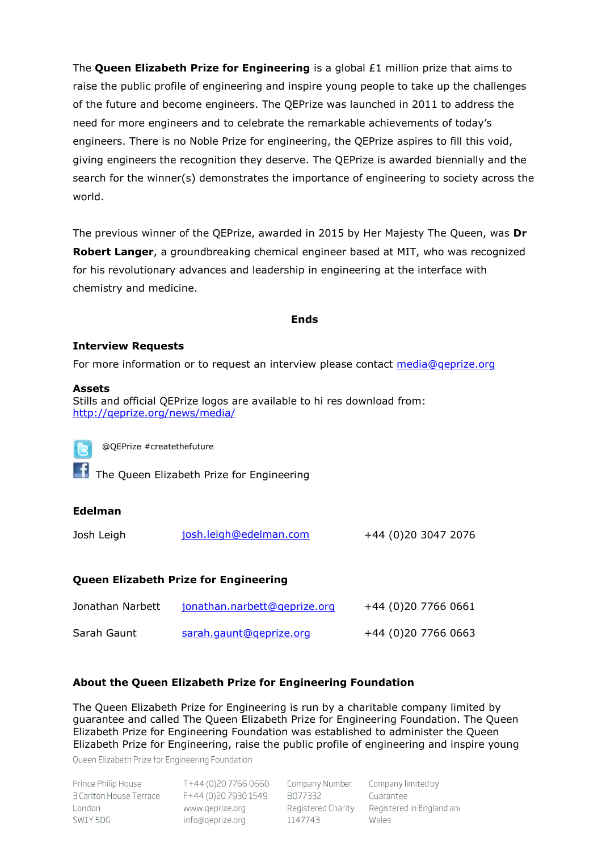The **Queen Elizabeth Prize for Engineering** is a global £1 million prize that aims to raise the public profile of engineering and inspire young people to take up the challenges of the future and become engineers. The QEPrize was launched in 2011 to address the need for more engineers and to celebrate the remarkable achievements of today's engineers. There is no Noble Prize for engineering, the QEPrize aspires to fill this void, giving engineers the recognition they deserve. The QEPrize is awarded biennially and the search for the winner(s) demonstrates the importance of engineering to society across the world.

The previous winner of the QEPrize, awarded in 2015 by Her Majesty The Queen, was **Dr Robert Langer**, a groundbreaking chemical engineer based at MIT, who was recognized for his revolutionary advances and leadership in engineering at the interface with chemistry and medicine.

#### **Ends**

#### **Interview Requests**

For more information or to request an interview please contact media@qeprize.org

#### **Assets**

Stills and official QEPrize logos are available to hi res download from: <http://qeprize.org/news/media/>

@QEPrize #createthefuture

**The Queen Elizabeth Prize for Engineering** 

#### **Edelman**

| +44 (0)20 3047 2076<br>josh.leigh@edelman.com<br>Josh Leigh |
|-------------------------------------------------------------|
|-------------------------------------------------------------|

## **Queen Elizabeth Prize for Engineering**

| Jonathan Narbett | jonathan.narbett@geprize.org | +44 (0)20 7766 0661 |
|------------------|------------------------------|---------------------|
| Sarah Gaunt      | sarah.gaunt@geprize.org      | +44 (0)20 7766 0663 |

## **About the Queen Elizabeth Prize for Engineering Foundation**

The Queen Elizabeth Prize for Engineering is run by a charitable company limited by guarantee and called The Queen Elizabeth Prize for Engineering Foundation. The Queen Elizabeth Prize for Engineering Foundation was established to administer the Queen Elizabeth Prize for Engineering, raise the public profile of engineering and inspire young

Oueen Elizabeth Prize for Engineering Foundation

| Prince Philip House     |  |
|-------------------------|--|
| 3 Carlton House Terrace |  |
| London                  |  |
| SW1Y 5DG                |  |

T+44 (0)20 7766 0660 Company Number F+44 (0)20 7930 1549 8077332 www.geprize.org info@qeprize.org

Registered Charity 1147743

Company limited by Guarantee Registered in England and Wales